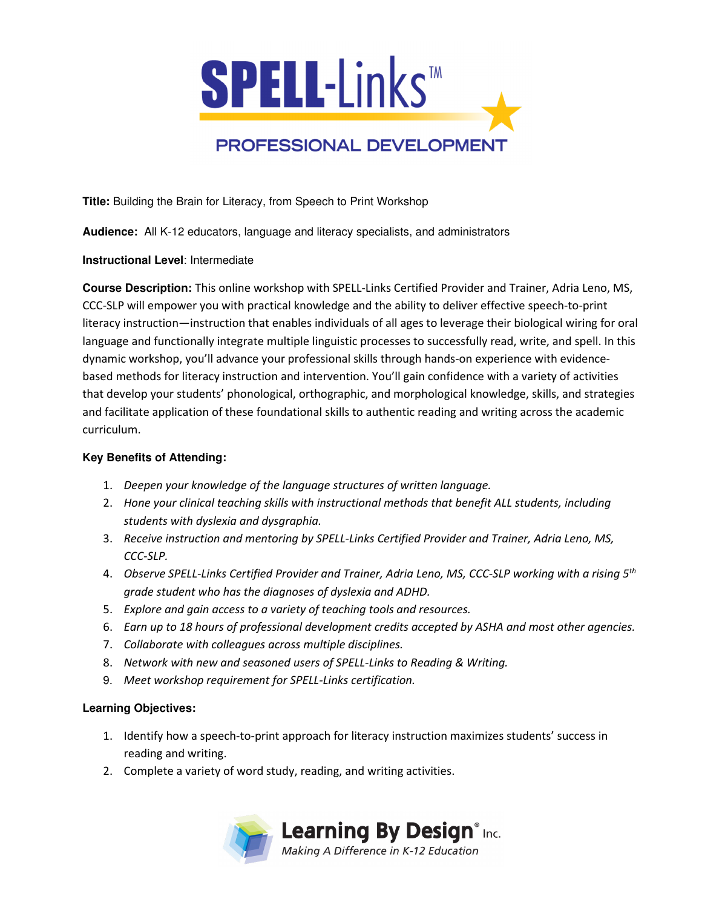

**Title:** Building the Brain for Literacy, from Speech to Print Workshop

**Audience:** All K-12 educators, language and literacy specialists, and administrators

#### **Instructional Level**: Intermediate

**Course Description:** This online workshop with SPELL-Links Certified Provider and Trainer, Adria Leno, MS, CCC-SLP will empower you with practical knowledge and the ability to deliver effective speech-to-print literacy instruction—instruction that enables individuals of all ages to leverage their biological wiring for oral language and functionally integrate multiple linguistic processes to successfully read, write, and spell. In this dynamic workshop, you'll advance your professional skills through hands-on experience with evidencebased methods for literacy instruction and intervention. You'll gain confidence with a variety of activities that develop your students' phonological, orthographic, and morphological knowledge, skills, and strategies and facilitate application of these foundational skills to authentic reading and writing across the academic curriculum.

### **Key Benefits of Attending:**

- 1. *Deepen your knowledge of the language structures of written language.*
- 2. *Hone your clinical teaching skills with instructional methods that benefit ALL students, including students with dyslexia and dysgraphia.*
- 3. *Receive instruction and mentoring by SPELL-Links Certified Provider and Trainer, Adria Leno, MS, CCC-SLP.*
- 4. *Observe SPELL-Links Certified Provider and Trainer, Adria Leno, MS, CCC-SLP working with a rising 5th grade student who has the diagnoses of dyslexia and ADHD.*
- 5. *Explore and gain access to a variety of teaching tools and resources.*
- 6. *Earn up to 18 hours of professional development credits accepted by ASHA and most other agencies.*
- 7. *Collaborate with colleagues across multiple disciplines.*
- 8. *Network with new and seasoned users of SPELL-Links to Reading & Writing.*
- 9. *Meet workshop requirement for SPELL-Links certification.*

#### **Learning Objectives:**

- 1. Identify how a speech-to-print approach for literacy instruction maximizes students' success in reading and writing.
- 2. Complete a variety of word study, reading, and writing activities.

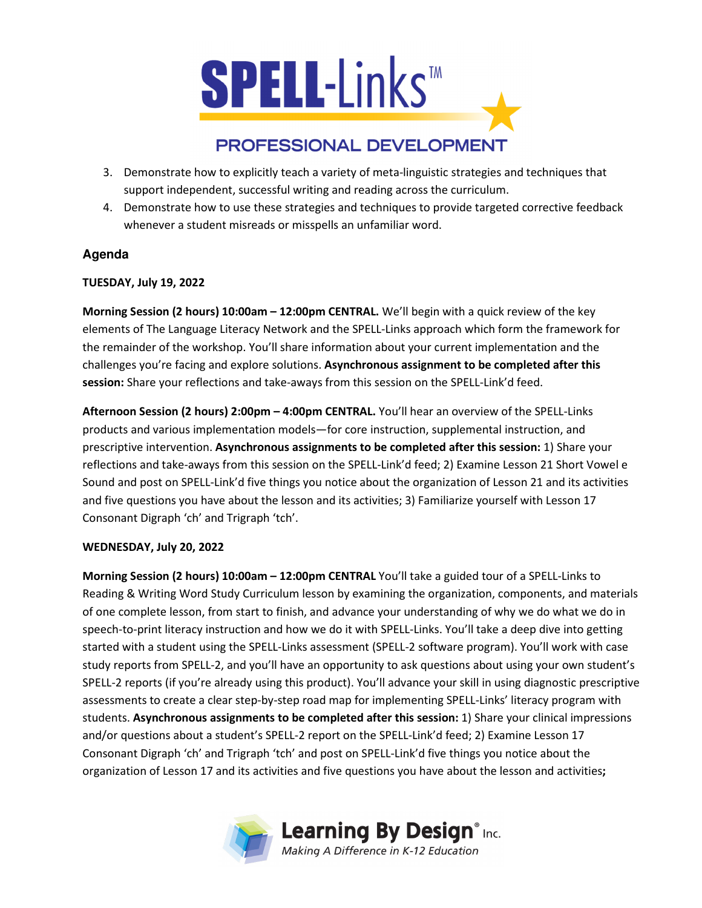

# PROFESSIONAL DEVELOPMENT

- 3. Demonstrate how to explicitly teach a variety of meta-linguistic strategies and techniques that support independent, successful writing and reading across the curriculum.
- 4. Demonstrate how to use these strategies and techniques to provide targeted corrective feedback whenever a student misreads or misspells an unfamiliar word.

## **Agenda**

## **TUESDAY, July 19, 2022**

**Morning Session (2 hours) 10:00am – 12:00pm CENTRAL.** We'll begin with a quick review of the key elements of The Language Literacy Network and the SPELL-Links approach which form the framework for the remainder of the workshop. You'll share information about your current implementation and the challenges you're facing and explore solutions. **Asynchronous assignment to be completed after this session:** Share your reflections and take-aways from this session on the SPELL-Link'd feed.

**Afternoon Session (2 hours) 2:00pm – 4:00pm CENTRAL.** You'll hear an overview of the SPELL-Links products and various implementation models—for core instruction, supplemental instruction, and prescriptive intervention. **Asynchronous assignments to be completed after this session:** 1) Share your reflections and take-aways from this session on the SPELL-Link'd feed; 2) Examine Lesson 21 Short Vowel e Sound and post on SPELL-Link'd five things you notice about the organization of Lesson 21 and its activities and five questions you have about the lesson and its activities; 3) Familiarize yourself with Lesson 17 Consonant Digraph 'ch' and Trigraph 'tch'.

## **WEDNESDAY, July 20, 2022**

**Morning Session (2 hours) 10:00am – 12:00pm CENTRAL** You'll take a guided tour of a SPELL-Links to Reading & Writing Word Study Curriculum lesson by examining the organization, components, and materials of one complete lesson, from start to finish, and advance your understanding of why we do what we do in speech-to-print literacy instruction and how we do it with SPELL-Links. You'll take a deep dive into getting started with a student using the SPELL-Links assessment (SPELL-2 software program). You'll work with case study reports from SPELL-2, and you'll have an opportunity to ask questions about using your own student's SPELL-2 reports (if you're already using this product). You'll advance your skill in using diagnostic prescriptive assessments to create a clear step-by-step road map for implementing SPELL-Links' literacy program with students. **Asynchronous assignments to be completed after this session:** 1) Share your clinical impressions and/or questions about a student's SPELL-2 report on the SPELL-Link'd feed; 2) Examine Lesson 17 Consonant Digraph 'ch' and Trigraph 'tch' and post on SPELL-Link'd five things you notice about the organization of Lesson 17 and its activities and five questions you have about the lesson and activities**;**